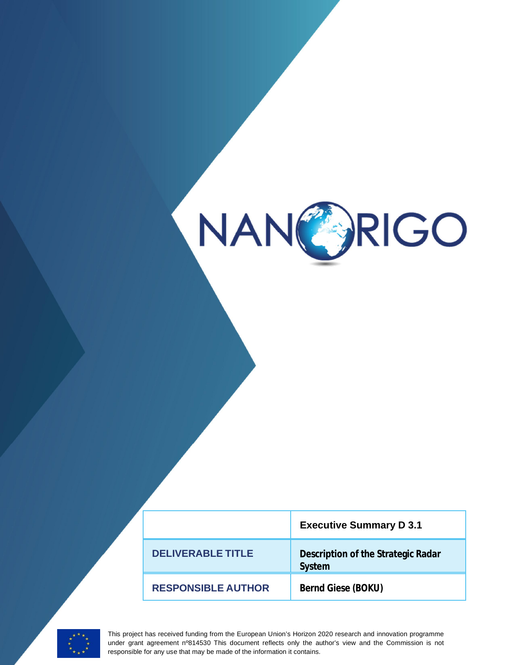

|                           | <b>Executive Summary D 3.1</b>               |
|---------------------------|----------------------------------------------|
| DEI IVERABI E TITI E      | Description of the Strategic Radar<br>System |
| <b>RESPONSIBLE AUTHOR</b> | Bernd Giese (BOKU)                           |



This project has received funding from the European Union's Horizon 2020 research and innovation programme under grant agreement nº814530 This document reflects only the author's view and the Commission is not responsible for any use that may be made of the information it contains.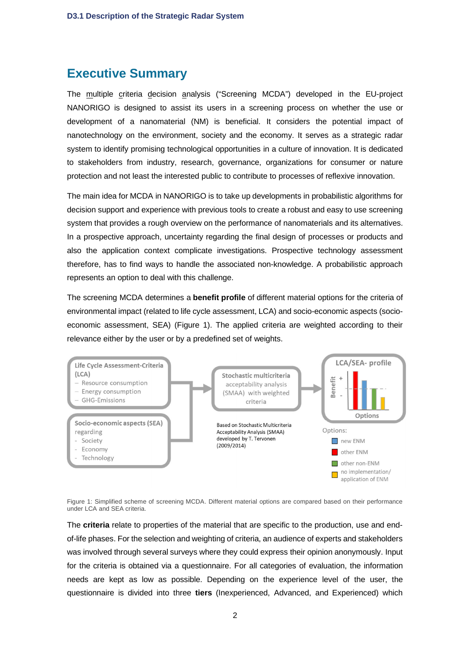## **Executive Summary**

The multiple criteria decision analysis ("Screening MCDA") developed in the EU-project NANORIGO is designed to assist its users in a screening process on whether the use or development of a nanomaterial (NM) is beneficial. It considers the potential impact of nanotechnology on the environment, society and the economy. It serves as a strategic radar system to identify promising technological opportunities in a culture of innovation. It is dedicated to stakeholders from industry, research, governance, organizations for consumer or nature protection and not least the interested public to contribute to processes of reflexive innovation.

The main idea for MCDA in NANORIGO is to take up developments in probabilistic algorithms for decision support and experience with previous tools to create a robust and easy to use screening system that provides a rough overview on the performance of nanomaterials and its alternatives. In a prospective approach, uncertainty regarding the final design of processes or products and also the application context complicate investigations. Prospective technology assessment therefore, has to find ways to handle the associated non-knowledge. A probabilistic approach represents an option to deal with this challenge.

The screening MCDA determines a **benefit profile** of different material options for the criteria of environmental impact (related to life cycle assessment, LCA) and socio-economic aspects (socioeconomic assessment, SEA) (Figure 1). The applied criteria are weighted according to their relevance either by the user or by a predefined set of weights.



Figure 1: Simplified scheme of screening MCDA. Different material options are compared based on their performance under LCA and SEA criteria.

The **criteria** relate to properties of the material that are specific to the production, use and endof-life phases. For the selection and weighting of criteria, an audience of experts and stakeholders was involved through several surveys where they could express their opinion anonymously. Input for the criteria is obtained via a questionnaire. For all categories of evaluation, the information needs are kept as low as possible. Depending on the experience level of the user, the questionnaire is divided into three **tiers** (Inexperienced, Advanced, and Experienced) which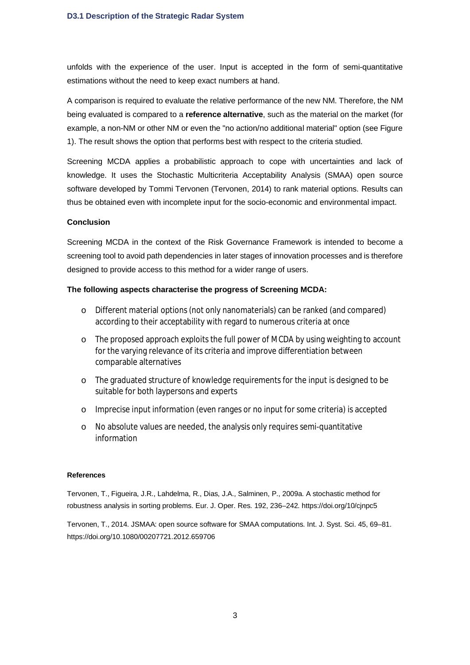unfolds with the experience of the user. Input is accepted in the form of semi-quantitative estimations without the need to keep exact numbers at hand.

A comparison is required to evaluate the relative performance of the new NM. Therefore, the NM being evaluated is compared to a **reference alternative**, such as the material on the market (for example, a non-NM or other NM or even the "no action/no additional material" option (see Figure 1). The result shows the option that performs best with respect to the criteria studied.

Screening MCDA applies a probabilistic approach to cope with uncertainties and lack of knowledge. It uses the Stochastic Multicriteria Acceptability Analysis (SMAA) open source software developed by Tommi Tervonen (Tervonen, 2014) to rank material options. Results can thus be obtained even with incomplete input for the socio-economic and environmental impact.

## **Conclusion**

Screening MCDA in the context of the Risk Governance Framework is intended to become a screening tool to avoid path dependencies in later stages of innovation processes and is therefore designed to provide access to this method for a wider range of users.

## **The following aspects characterise the progress of Screening MCDA:**

- o Different material options (not only nanomaterials) can be ranked (and compared) according to their acceptability with regard to numerous criteria at once
- o The proposed approach exploits the full power of MCDA by using weighting to account for the varying relevance of its criteria and improve differentiation between comparable alternatives
- o The graduated structure of knowledge requirements for the input is designed to be suitable for both laypersons and experts
- o Imprecise input information (even ranges or no input for some criteria) is accepted
- o No absolute values are needed, the analysis only requires semi-quantitative information

## **References**

Tervonen, T., Figueira, J.R., Lahdelma, R., Dias, J.A., Salminen, P., 2009a. A stochastic method for robustness analysis in sorting problems. Eur. J. Oper. Res. 192, 236–242. https://doi.org/10/cjnpc5

Tervonen, T., 2014. JSMAA: open source software for SMAA computations. Int. J. Syst. Sci. 45, 69–81. https://doi.org/10.1080/00207721.2012.659706